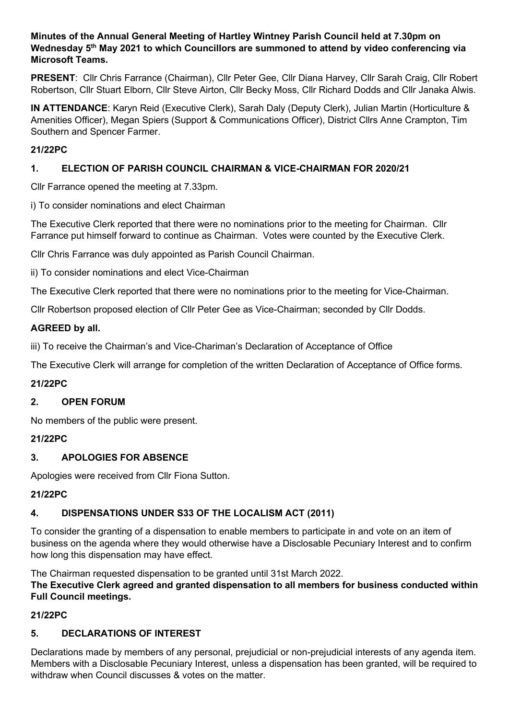### **Minutes of the Annual General Meeting of Hartley Wintney Parish Council held at 7.30pm on Wednesday 5th May 2021 to which Councillors are summoned to attend by video conferencing via Microsoft Teams.**

**PRESENT**: Cllr Chris Farrance (Chairman), Cllr Peter Gee, Cllr Diana Harvey, Cllr Sarah Craig, Cllr Robert Robertson, Cllr Stuart Elborn, Cllr Steve Airton, Cllr Becky Moss, Cllr Richard Dodds and Cllr Janaka Alwis.

**IN ATTENDANCE**: Karyn Reid (Executive Clerk), Sarah Daly (Deputy Clerk), Julian Martin (Horticulture & Amenities Officer), Megan Spiers (Support & Communications Officer), District Cllrs Anne Crampton, Tim Southern and Spencer Farmer.

## **21/22PC**

## **1. ELECTION OF PARISH COUNCIL CHAIRMAN & VICE-CHAIRMAN FOR 2020/21**

Cllr Farrance opened the meeting at 7.33pm.

i) To consider nominations and elect Chairman

The Executive Clerk reported that there were no nominations prior to the meeting for Chairman. Cllr Farrance put himself forward to continue as Chairman. Votes were counted by the Executive Clerk.

Cllr Chris Farrance was duly appointed as Parish Council Chairman.

ii) To consider nominations and elect Vice-Chairman

The Executive Clerk reported that there were no nominations prior to the meeting for Vice-Chairman.

Cllr Robertson proposed election of Cllr Peter Gee as Vice-Chairman; seconded by Cllr Dodds.

### **AGREED by all.**

iii) To receive the Chairman's and Vice-Chariman's Declaration of Acceptance of Office

The Executive Clerk will arrange for completion of the written Declaration of Acceptance of Office forms.

## **21/22PC**

## **2. OPEN FORUM**

No members of the public were present.

## **21/22PC**

## **3. APOLOGIES FOR ABSENCE**

Apologies were received from Cllr Fiona Sutton.

#### **21/22PC**

## **4. DISPENSATIONS UNDER S33 OF THE LOCALISM ACT (2011)**

To consider the granting of a dispensation to enable members to participate in and vote on an item of business on the agenda where they would otherwise have a Disclosable Pecuniary Interest and to confirm how long this dispensation may have effect.

The Chairman requested dispensation to be granted until 31st March 2022.

**The Executive Clerk agreed and granted dispensation to all members for business conducted within Full Council meetings.**

## **21/22PC**

## **5. DECLARATIONS OF INTEREST**

Declarations made by members of any personal, prejudicial or non-prejudicial interests of any agenda item. Members with a Disclosable Pecuniary Interest, unless a dispensation has been granted, will be required to withdraw when Council discusses & votes on the matter.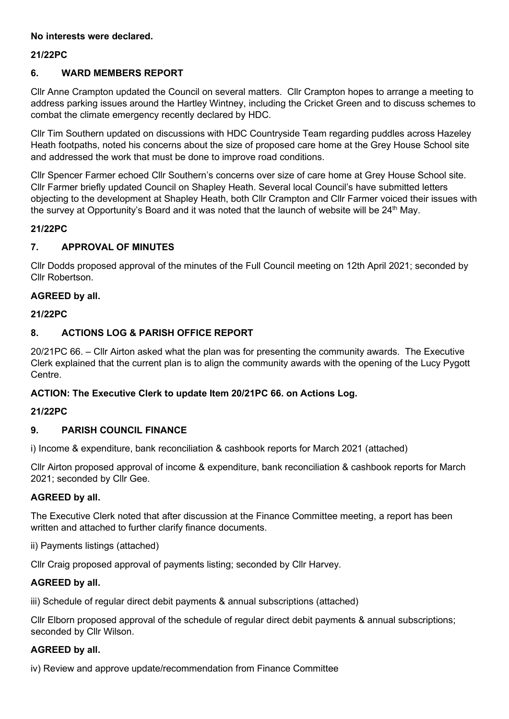### **No interests were declared.**

### **21/22PC**

### **6. WARD MEMBERS REPORT**

Cllr Anne Crampton updated the Council on several matters. Cllr Crampton hopes to arrange a meeting to address parking issues around the Hartley Wintney, including the Cricket Green and to discuss schemes to combat the climate emergency recently declared by HDC.

Cllr Tim Southern updated on discussions with HDC Countryside Team regarding puddles across Hazeley Heath footpaths, noted his concerns about the size of proposed care home at the Grey House School site and addressed the work that must be done to improve road conditions.

Cllr Spencer Farmer echoed Cllr Southern's concerns over size of care home at Grey House School site. Cllr Farmer briefly updated Council on Shapley Heath. Several local Council's have submitted letters objecting to the development at Shapley Heath, both Cllr Crampton and Cllr Farmer voiced their issues with the survey at Opportunity's Board and it was noted that the launch of website will be  $24<sup>th</sup>$  May.

#### **21/22PC**

### **7. APPROVAL OF MINUTES**

Cllr Dodds proposed approval of the minutes of the Full Council meeting on 12th April 2021; seconded by Cllr Robertson.

### **AGREED by all.**

#### **21/22PC**

# **8. ACTIONS LOG & PARISH OFFICE REPORT**

20/21PC 66. – Cllr Airton asked what the plan was for presenting the community awards. The Executive Clerk explained that the current plan is to align the community awards with the opening of the Lucy Pygott Centre.

#### **ACTION: The Executive Clerk to update Item 20/21PC 66. on Actions Log.**

#### **21/22PC**

#### **9. PARISH COUNCIL FINANCE**

i) Income & expenditure, bank reconciliation & cashbook reports for March 2021 (attached)

Cllr Airton proposed approval of income & expenditure, bank reconciliation & cashbook reports for March 2021; seconded by Cllr Gee.

#### **AGREED by all.**

The Executive Clerk noted that after discussion at the Finance Committee meeting, a report has been written and attached to further clarify finance documents.

ii) Payments listings (attached)

Cllr Craig proposed approval of payments listing; seconded by Cllr Harvey.

#### **AGREED by all.**

iii) Schedule of regular direct debit payments & annual subscriptions (attached)

Cllr Elborn proposed approval of the schedule of regular direct debit payments & annual subscriptions; seconded by Cllr Wilson.

#### **AGREED by all.**

iv) Review and approve update/recommendation from Finance Committee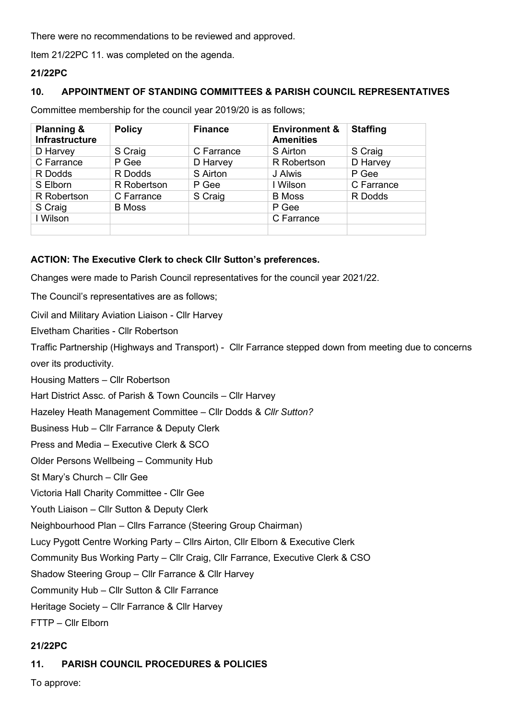There were no recommendations to be reviewed and approved.

Item 21/22PC 11. was completed on the agenda.

#### **21/22PC**

#### **10. APPOINTMENT OF STANDING COMMITTEES & PARISH COUNCIL REPRESENTATIVES**

Committee membership for the council year 2019/20 is as follows;

| <b>Planning &amp;</b><br>Infrastructure | <b>Policy</b> | <b>Finance</b> | <b>Environment &amp;</b><br><b>Amenities</b> | <b>Staffing</b> |
|-----------------------------------------|---------------|----------------|----------------------------------------------|-----------------|
| D Harvey                                | S Craig       | C Farrance     | S Airton                                     | S Craig         |
| C Farrance                              | P Gee         | D Harvey       | R Robertson                                  | D Harvey        |
| R Dodds                                 | R Dodds       | S Airton       | J Alwis                                      | P Gee           |
| S Elborn                                | R Robertson   | P Gee          | I Wilson                                     | C Farrance      |
| R Robertson                             | C Farrance    | S Craig        | <b>B</b> Moss                                | R Dodds         |
| S Craig                                 | <b>B</b> Moss |                | P Gee                                        |                 |
| I Wilson                                |               |                | C Farrance                                   |                 |
|                                         |               |                |                                              |                 |

### **ACTION: The Executive Clerk to check Cllr Sutton's preferences.**

Changes were made to Parish Council representatives for the council year 2021/22.

The Council's representatives are as follows;

Civil and Military Aviation Liaison - Cllr Harvey

Elvetham Charities - Cllr Robertson

Traffic Partnership (Highways and Transport) - Cllr Farrance stepped down from meeting due to concerns over its productivity.

Housing Matters – Cllr Robertson

Hart District Assc. of Parish & Town Councils – Cllr Harvey

Hazeley Heath Management Committee – Cllr Dodds & *Cllr Sutton?* 

Business Hub – Cllr Farrance & Deputy Clerk

Press and Media – Executive Clerk & SCO

Older Persons Wellbeing – Community Hub

St Mary's Church – Cllr Gee

Victoria Hall Charity Committee - Cllr Gee

Youth Liaison – Cllr Sutton & Deputy Clerk

Neighbourhood Plan – Cllrs Farrance (Steering Group Chairman)

Lucy Pygott Centre Working Party – Cllrs Airton, Cllr Elborn & Executive Clerk

Community Bus Working Party – Cllr Craig, Cllr Farrance, Executive Clerk & CSO

Shadow Steering Group – Cllr Farrance & Cllr Harvey

Community Hub – Cllr Sutton & Cllr Farrance

Heritage Society – Cllr Farrance & Cllr Harvey

FTTP – Cllr Elborn

## **21/22PC**

## **11. PARISH COUNCIL PROCEDURES & POLICIES**

To approve: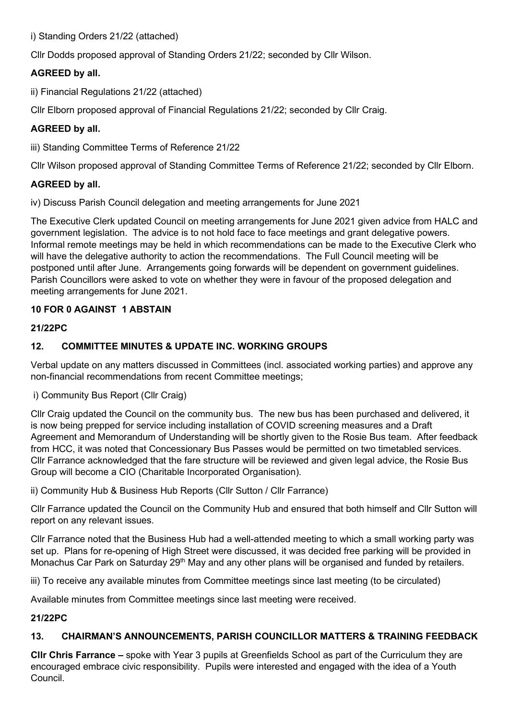i) Standing Orders 21/22 (attached)

Cllr Dodds proposed approval of Standing Orders 21/22; seconded by Cllr Wilson.

# **AGREED by all.**

ii) Financial Regulations 21/22 (attached)

Cllr Elborn proposed approval of Financial Regulations 21/22; seconded by Cllr Craig.

# **AGREED by all.**

iii) Standing Committee Terms of Reference 21/22

Cllr Wilson proposed approval of Standing Committee Terms of Reference 21/22; seconded by Cllr Elborn.

## **AGREED by all.**

iv) Discuss Parish Council delegation and meeting arrangements for June 2021

The Executive Clerk updated Council on meeting arrangements for June 2021 given advice from HALC and government legislation. The advice is to not hold face to face meetings and grant delegative powers. Informal remote meetings may be held in which recommendations can be made to the Executive Clerk who will have the delegative authority to action the recommendations. The Full Council meeting will be postponed until after June. Arrangements going forwards will be dependent on government guidelines. Parish Councillors were asked to vote on whether they were in favour of the proposed delegation and meeting arrangements for June 2021.

# **10 FOR 0 AGAINST 1 ABSTAIN**

## **21/22PC**

# **12. COMMITTEE MINUTES & UPDATE INC. WORKING GROUPS**

Verbal update on any matters discussed in Committees (incl. associated working parties) and approve any non-financial recommendations from recent Committee meetings;

## i) Community Bus Report (Cllr Craig)

Cllr Craig updated the Council on the community bus. The new bus has been purchased and delivered, it is now being prepped for service including installation of COVID screening measures and a Draft Agreement and Memorandum of Understanding will be shortly given to the Rosie Bus team. After feedback from HCC, it was noted that Concessionary Bus Passes would be permitted on two timetabled services. Cllr Farrance acknowledged that the fare structure will be reviewed and given legal advice, the Rosie Bus Group will become a CIO (Charitable Incorporated Organisation).

ii) Community Hub & Business Hub Reports (Cllr Sutton / Cllr Farrance)

Cllr Farrance updated the Council on the Community Hub and ensured that both himself and Cllr Sutton will report on any relevant issues.

Cllr Farrance noted that the Business Hub had a well-attended meeting to which a small working party was set up. Plans for re-opening of High Street were discussed, it was decided free parking will be provided in Monachus Car Park on Saturday 29<sup>th</sup> May and any other plans will be organised and funded by retailers.

iii) To receive any available minutes from Committee meetings since last meeting (to be circulated)

Available minutes from Committee meetings since last meeting were received.

## **21/22PC**

# **13. CHAIRMAN'S ANNOUNCEMENTS, PARISH COUNCILLOR MATTERS & TRAINING FEEDBACK**

**Cllr Chris Farrance –** spoke with Year 3 pupils at Greenfields School as part of the Curriculum they are encouraged embrace civic responsibility. Pupils were interested and engaged with the idea of a Youth Council.